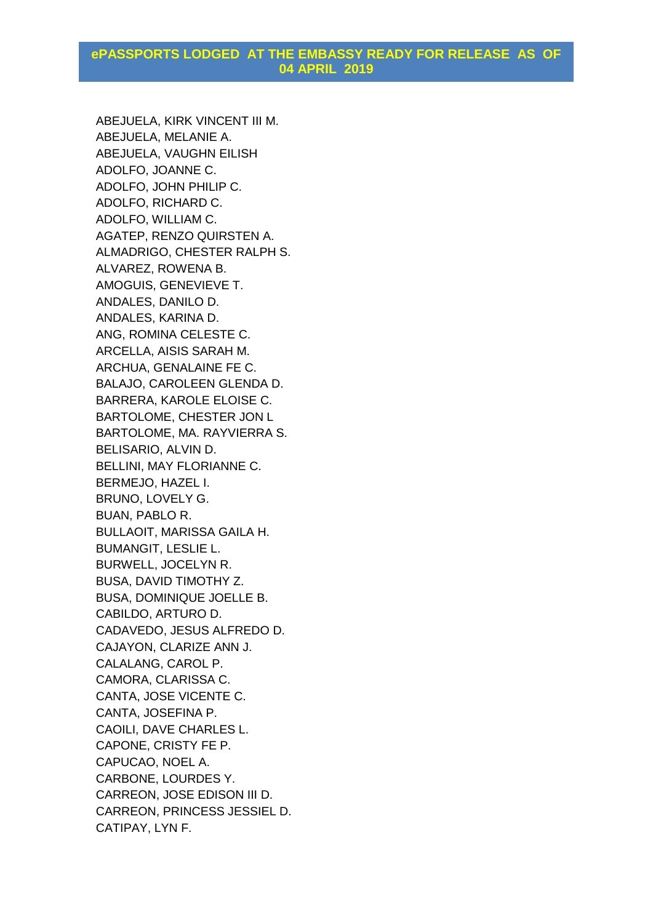ABEJUELA, KIRK VINCENT III M. ABEJUELA, MELANIE A. ABEJUELA, VAUGHN EILISH ADOLFO, JOANNE C. ADOLFO, JOHN PHILIP C. ADOLFO, RICHARD C. ADOLFO, WILLIAM C. AGATEP, RENZO QUIRSTEN A. ALMADRIGO, CHESTER RALPH S. ALVAREZ, ROWENA B. AMOGUIS, GENEVIEVE T. ANDALES, DANILO D. ANDALES, KARINA D. ANG, ROMINA CELESTE C. ARCELLA, AISIS SARAH M. ARCHUA, GENALAINE FE C. BALAJO, CAROLEEN GLENDA D. BARRERA, KAROLE ELOISE C. BARTOLOME, CHESTER JON L BARTOLOME, MA. RAYVIERRA S. BELISARIO, ALVIN D. BELLINI, MAY FLORIANNE C. BERMEJO, HAZEL I. BRUNO, LOVELY G. BUAN, PABLO R. BULLAOIT, MARISSA GAILA H. BUMANGIT, LESLIE L. BURWELL, JOCELYN R. BUSA, DAVID TIMOTHY Z. BUSA, DOMINIQUE JOELLE B. CABILDO, ARTURO D. CADAVEDO, JESUS ALFREDO D. CAJAYON, CLARIZE ANN J. CALALANG, CAROL P. CAMORA, CLARISSA C. CANTA, JOSE VICENTE C. CANTA, JOSEFINA P. CAOILI, DAVE CHARLES L. CAPONE, CRISTY FE P. CAPUCAO, NOEL A. CARBONE, LOURDES Y. CARREON, JOSE EDISON III D. CARREON, PRINCESS JESSIEL D. CATIPAY, LYN F.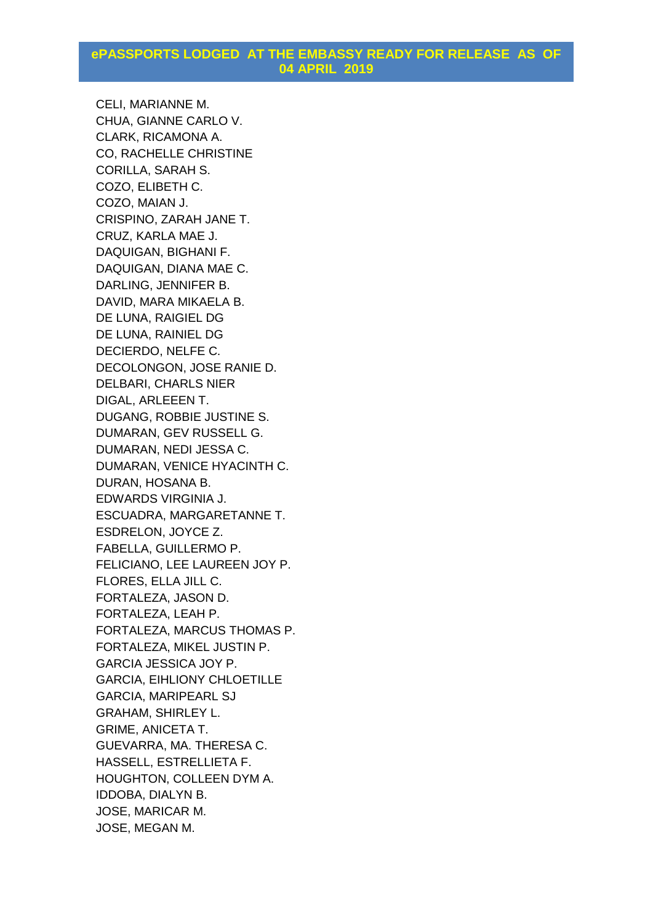CELI, MARIANNE M. CHUA, GIANNE CARLO V. CLARK, RICAMONA A. CO, RACHELLE CHRISTINE CORILLA, SARAH S. COZO, ELIBETH C. COZO, MAIAN J. CRISPINO, ZARAH JANE T. CRUZ, KARLA MAE J. DAQUIGAN, BIGHANI F. DAQUIGAN, DIANA MAE C. DARLING, JENNIFER B. DAVID, MARA MIKAELA B. DE LUNA, RAIGIEL DG DE LUNA, RAINIEL DG DECIERDO, NELFE C. DECOLONGON, JOSE RANIE D. DELBARI, CHARLS NIER DIGAL, ARLEEEN T. DUGANG, ROBBIE JUSTINE S. DUMARAN, GEV RUSSELL G. DUMARAN, NEDI JESSA C. DUMARAN, VENICE HYACINTH C. DURAN, HOSANA B. EDWARDS VIRGINIA J. ESCUADRA, MARGARETANNE T. ESDRELON, JOYCE Z. FABELLA, GUILLERMO P. FELICIANO, LEE LAUREEN JOY P. FLORES, ELLA JILL C. FORTALEZA, JASON D. FORTALEZA, LEAH P. FORTALEZA, MARCUS THOMAS P. FORTALEZA, MIKEL JUSTIN P. GARCIA JESSICA JOY P. GARCIA, EIHLIONY CHLOETILLE GARCIA, MARIPEARL SJ GRAHAM, SHIRLEY L. GRIME, ANICETA T. GUEVARRA, MA. THERESA C. HASSELL, ESTRELLIETA F. HOUGHTON, COLLEEN DYM A. IDDOBA, DIALYN B. JOSE, MARICAR M. JOSE, MEGAN M.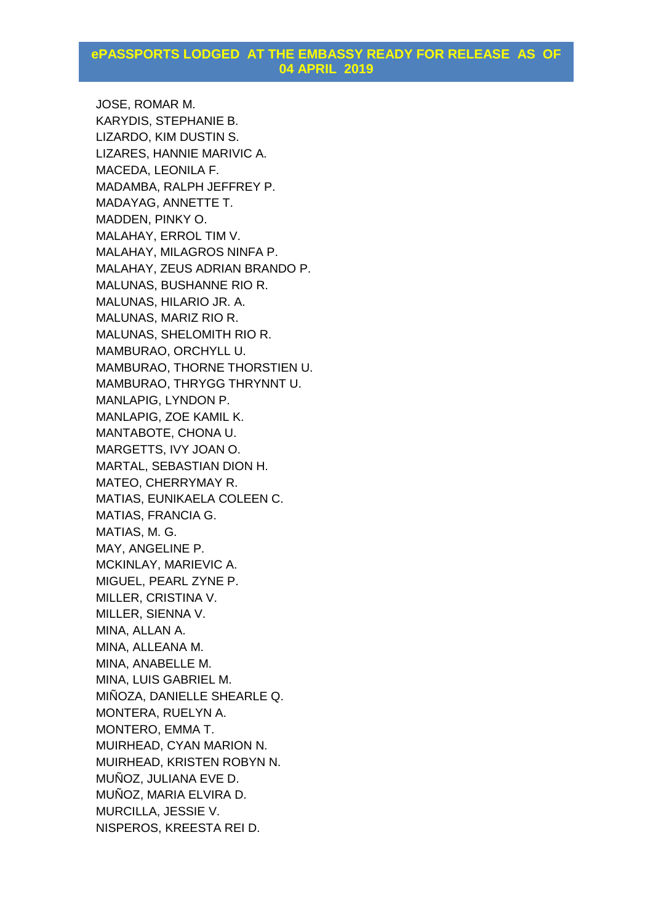JOSE, ROMAR M. KARYDIS, STEPHANIE B. LIZARDO, KIM DUSTIN S. LIZARES, HANNIE MARIVIC A. MACEDA, LEONILA F. MADAMBA, RALPH JEFFREY P. MADAYAG, ANNETTE T. MADDEN, PINKY O. MALAHAY, ERROL TIM V. MALAHAY, MILAGROS NINFA P. MALAHAY, ZEUS ADRIAN BRANDO P. MALUNAS, BUSHANNE RIO R. MALUNAS, HILARIO JR. A. MALUNAS, MARIZ RIO R. MALUNAS, SHELOMITH RIO R. MAMBURAO, ORCHYLL U. MAMBURAO, THORNE THORSTIEN U. MAMBURAO, THRYGG THRYNNT U. MANLAPIG, LYNDON P. MANLAPIG, ZOE KAMIL K. MANTABOTE, CHONA U. MARGETTS, IVY JOAN O. MARTAL, SEBASTIAN DION H. MATEO, CHERRYMAY R. MATIAS, EUNIKAELA COLEEN C. MATIAS, FRANCIA G. MATIAS, M. G. MAY, ANGELINE P. MCKINLAY, MARIEVIC A. MIGUEL, PEARL ZYNE P. MILLER, CRISTINA V. MILLER, SIENNA V. MINA, ALLAN A. MINA, ALLEANA M. MINA, ANABELLE M. MINA, LUIS GABRIEL M. MIÑOZA, DANIELLE SHEARLE Q. MONTERA, RUELYN A. MONTERO, EMMA T. MUIRHEAD, CYAN MARION N. MUIRHEAD, KRISTEN ROBYN N. MUÑOZ, JULIANA EVE D. MUÑOZ, MARIA ELVIRA D. MURCILLA, JESSIE V. NISPEROS, KREESTA REI D.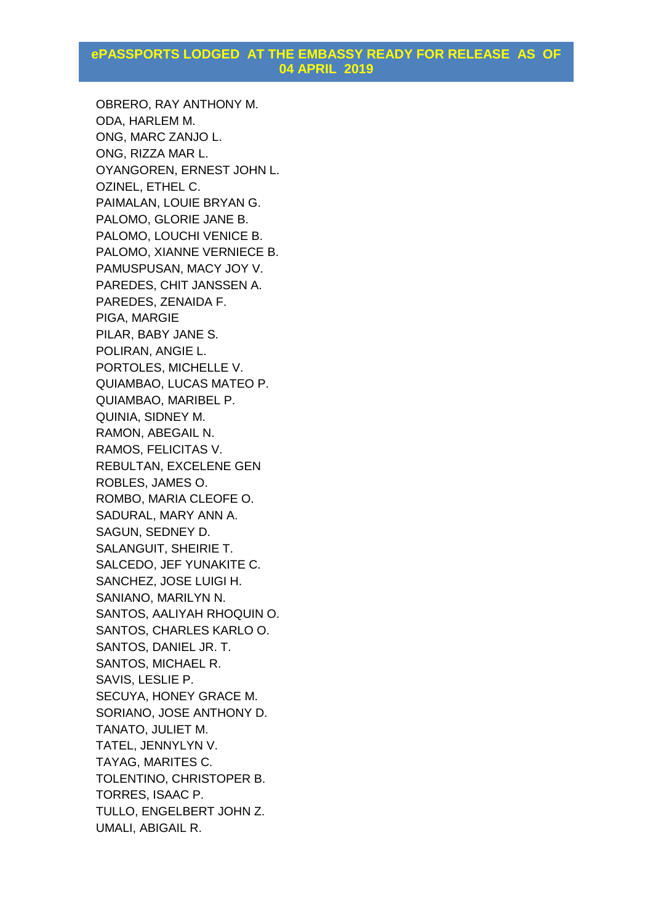OBRERO, RAY ANTHONY M. ODA, HARLEM M. ONG, MARC ZANJO L. ONG, RIZZA MAR L. OYANGOREN, ERNEST JOHN L. OZINEL, ETHEL C. PAIMALAN, LOUIE BRYAN G. PALOMO, GLORIE JANE B. PALOMO, LOUCHI VENICE B. PALOMO, XIANNE VERNIECE B. PAMUSPUSAN, MACY JOY V. PAREDES, CHIT JANSSEN A. PAREDES, ZENAIDA F. PIGA, MARGIE PILAR, BABY JANE S. POLIRAN, ANGIE L. PORTOLES, MICHELLE V. QUIAMBAO, LUCAS MATEO P. QUIAMBAO, MARIBEL P. QUINIA, SIDNEY M. RAMON, ABEGAIL N. RAMOS, FELICITAS V. REBULTAN, EXCELENE GEN ROBLES, JAMES O. ROMBO, MARIA CLEOFE O. SADURAL, MARY ANN A. SAGUN, SEDNEY D. SALANGUIT, SHEIRIE T. SALCEDO, JEF YUNAKITE C. SANCHEZ, JOSE LUIGI H. SANIANO, MARILYN N. SANTOS, AALIYAH RHOQUIN O. SANTOS, CHARLES KARLO O. SANTOS, DANIEL JR. T. SANTOS, MICHAEL R. SAVIS, LESLIE P. SECUYA, HONEY GRACE M. SORIANO, JOSE ANTHONY D. TANATO, JULIET M. TATEL, JENNYLYN V. TAYAG, MARITES C. TOLENTINO, CHRISTOPER B. TORRES, ISAAC P. TULLO, ENGELBERT JOHN Z. UMALI, ABIGAIL R.